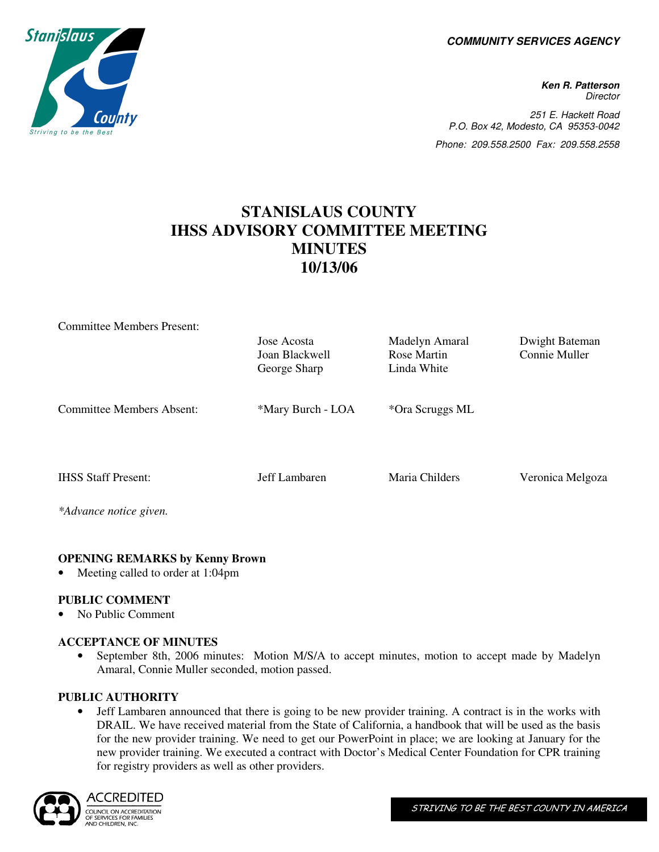**COMMUNITY SERVICES AGENCY** 

**Ken R. Patterson Director** 251 E. Hackett Road P.O. Box 42, Modesto, CA 95353-0042 Phone: 209.558.2500 Fax: 209.558.2558

# **STANISLAUS COUNTY IHSS ADVISORY COMMITTEE MEETING MINUTES 10/13/06**

| <b>Committee Members Present:</b> |                   |                 |                  |
|-----------------------------------|-------------------|-----------------|------------------|
|                                   | Jose Acosta       | Madelyn Amaral  | Dwight Bateman   |
|                                   | Joan Blackwell    | Rose Martin     | Connie Muller    |
|                                   | George Sharp      | Linda White     |                  |
|                                   |                   |                 |                  |
| <b>Committee Members Absent:</b>  | *Mary Burch - LOA | *Ora Scruggs ML |                  |
|                                   |                   |                 |                  |
|                                   |                   |                 |                  |
|                                   |                   |                 |                  |
| <b>IHSS Staff Present:</b>        | Jeff Lambaren     | Maria Childers  | Veronica Melgoza |
|                                   |                   |                 |                  |
|                                   |                   |                 |                  |
| *Advance notice given.            |                   |                 |                  |

### **OPENING REMARKS by Kenny Brown**

Meeting called to order at 1:04pm

### **PUBLIC COMMENT**

• No Public Comment

### **ACCEPTANCE OF MINUTES**

• September 8th, 2006 minutes: Motion M/S/A to accept minutes, motion to accept made by Madelyn Amaral, Connie Muller seconded, motion passed.

### **PUBLIC AUTHORITY**

• Jeff Lambaren announced that there is going to be new provider training. A contract is in the works with DRAIL. We have received material from the State of California, a handbook that will be used as the basis for the new provider training. We need to get our PowerPoint in place; we are looking at January for the new provider training. We executed a contract with Doctor's Medical Center Foundation for CPR training for registry providers as well as other providers.



ACCREDITED COUNCIL ON ACCREDITATION COONGLONDLERGEDIVING<br>OF SERVICES FOR FAMILIES<br>AND CHILDREN, INC.

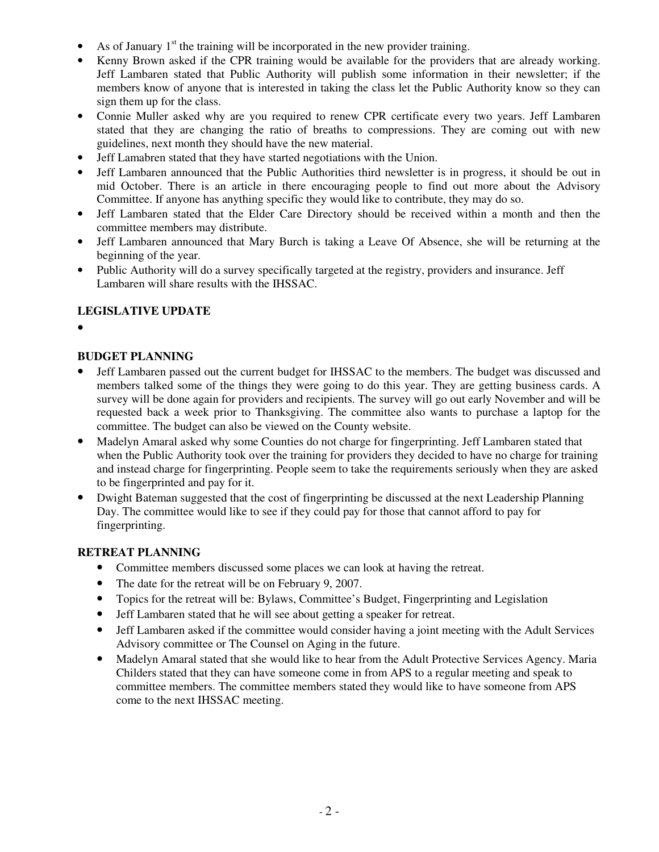- As of January  $1<sup>st</sup>$  the training will be incorporated in the new provider training.
- Kenny Brown asked if the CPR training would be available for the providers that are already working. Jeff Lambaren stated that Public Authority will publish some information in their newsletter; if the members know of anyone that is interested in taking the class let the Public Authority know so they can sign them up for the class.
- Connie Muller asked why are you required to renew CPR certificate every two years. Jeff Lambaren stated that they are changing the ratio of breaths to compressions. They are coming out with new guidelines, next month they should have the new material.
- Jeff Lamabren stated that they have started negotiations with the Union.
- Jeff Lambaren announced that the Public Authorities third newsletter is in progress, it should be out in mid October. There is an article in there encouraging people to find out more about the Advisory Committee. If anyone has anything specific they would like to contribute, they may do so.
- Jeff Lambaren stated that the Elder Care Directory should be received within a month and then the committee members may distribute.
- Jeff Lambaren announced that Mary Burch is taking a Leave Of Absence, she will be returning at the beginning of the year.
- Public Authority will do a survey specifically targeted at the registry, providers and insurance. Jeff Lambaren will share results with the IHSSAC.

# **LEGISLATIVE UPDATE**

•

# **BUDGET PLANNING**

- Jeff Lambaren passed out the current budget for IHSSAC to the members. The budget was discussed and members talked some of the things they were going to do this year. They are getting business cards. A survey will be done again for providers and recipients. The survey will go out early November and will be requested back a week prior to Thanksgiving. The committee also wants to purchase a laptop for the committee. The budget can also be viewed on the County website.
- Madelyn Amaral asked why some Counties do not charge for fingerprinting. Jeff Lambaren stated that when the Public Authority took over the training for providers they decided to have no charge for training and instead charge for fingerprinting. People seem to take the requirements seriously when they are asked to be fingerprinted and pay for it.
- Dwight Bateman suggested that the cost of fingerprinting be discussed at the next Leadership Planning Day. The committee would like to see if they could pay for those that cannot afford to pay for fingerprinting.

### **RETREAT PLANNING**

- Committee members discussed some places we can look at having the retreat.
- The date for the retreat will be on February 9, 2007.
- Topics for the retreat will be: Bylaws, Committee's Budget, Fingerprinting and Legislation
- Jeff Lambaren stated that he will see about getting a speaker for retreat.
- Jeff Lambaren asked if the committee would consider having a joint meeting with the Adult Services Advisory committee or The Counsel on Aging in the future.
- Madelyn Amaral stated that she would like to hear from the Adult Protective Services Agency. Maria Childers stated that they can have someone come in from APS to a regular meeting and speak to committee members. The committee members stated they would like to have someone from APS come to the next IHSSAC meeting.